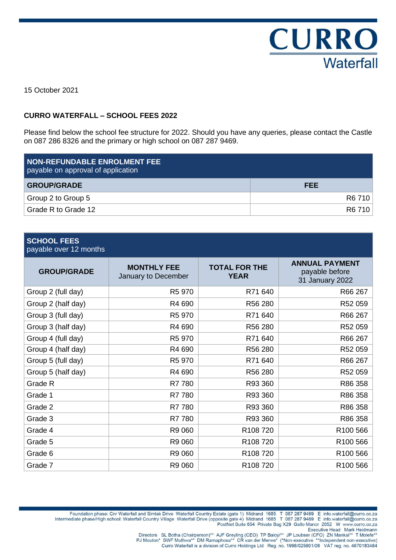

15 October 2021

#### **CURRO WATERFALL – SCHOOL FEES 2022**

Please find below the school fee structure for 2022. Should you have any queries, please contact the Castle on 087 286 8326 and the primary or high school on 087 287 9469.

| <b>NON-REFUNDABLE ENROLMENT FEE</b><br>payable on approval of application |            |
|---------------------------------------------------------------------------|------------|
| <b>GROUP/GRADE</b>                                                        | <b>FEE</b> |
| Group 2 to Group 5                                                        | R6 710     |
| Grade R to Grade 12                                                       | R6 710     |

# **SCHOOL FEES**

payable over 12 months

| <b>GROUP/GRADE</b> | <b>MONTHLY FEE</b><br>January to December | <b>TOTAL FOR THE</b><br><b>YEAR</b> | <b>ANNUAL PAYMENT</b><br>payable before<br>31 January 2022 |
|--------------------|-------------------------------------------|-------------------------------------|------------------------------------------------------------|
| Group 2 (full day) | R5 970                                    | R71 640                             | R66 267                                                    |
| Group 2 (half day) | R4 690                                    | R56 280                             | R52 059                                                    |
| Group 3 (full day) | R5 970                                    | R71 640                             | R66 267                                                    |
| Group 3 (half day) | R4 690                                    | R56 280                             | R52 059                                                    |
| Group 4 (full day) | R5 970                                    | R71 640                             | R66 267                                                    |
| Group 4 (half day) | R4 690                                    | R56 280                             | R52 059                                                    |
| Group 5 (full day) | R5 970                                    | R71 640                             | R66 267                                                    |
| Group 5 (half day) | R4 690                                    | R56 280                             | R52 059                                                    |
| Grade R            | R7 780                                    | R93 360                             | R86 358                                                    |
| Grade 1            | R7 780                                    | R93 360                             | R86 358                                                    |
| Grade 2            | R7 780                                    | R93 360                             | R86 358                                                    |
| Grade 3            | R7 780                                    | R93 360                             | R86 358                                                    |
| Grade 4            | R9 060                                    | R108720                             | R100 566                                                   |
| Grade 5            | R9 060                                    | R <sub>108</sub> 720                | R100 566                                                   |
| Grade 6            | R9 060                                    | R108720                             | R100 566                                                   |
| Grade 7            | R9 060                                    | R <sub>108</sub> 720                | R100 566                                                   |

Foundation phase: Cnr Waterfall and Simlak Drive Waterfall Country Estate (gate 1) Midrand 1685 T 087 287 9469 E info.waterfall@curro.co.za<br>Intermediate phase/High school: Waterfall Country Village Waterfall Drive (opposit posite gate 4) Midrand 1665 1 067 267 9469 E lino.waterialige.cdno.co.za<br>PostNet Suite 654 Private Bag X29 Gallo Manor 2052 W www.curro.co.za<br>Executive Head Mark Heidmann

Directors SL Botha (Chairperson)\*\* AJF Greyling (CEO) TP Baloyi\*\* JP Loubser (CFO) ZN Mankai\*\* T Molefe\*\*<br>"PJ Mouton\* SWF Muthwa\*\* DM Ramaphosa\*\* CR van der Merwe\* (\*Non-executive \*\*Independent non-executive)

Curro Waterfall is a division of Curro Holdings Ltd Reg. no. 1998/025801/06 VAT reg. no. 4670183484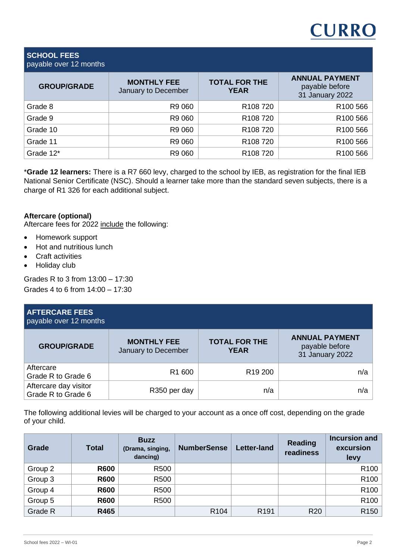### **SCHOOL FEES** payable over 12 months

| <b>GROUP/GRADE</b> | <b>MONTHLY FEE</b><br>January to December | <b>TOTAL FOR THE</b><br><b>YEAR</b> | <b>ANNUAL PAYMENT</b><br>payable before<br>31 January 2022 |
|--------------------|-------------------------------------------|-------------------------------------|------------------------------------------------------------|
| Grade 8            | R9 060                                    | R <sub>108</sub> 720                | R <sub>100</sub> 566                                       |
| Grade 9            | R9 060                                    | R <sub>108</sub> 720                | R100 566                                                   |
| Grade 10           | R9 060                                    | R <sub>108</sub> 720                | R100 566                                                   |
| Grade 11           | R9 060                                    | R <sub>108</sub> 720                | R100 566                                                   |
| Grade 12*          | R9 060                                    | R <sub>108</sub> 720                | R <sub>100</sub> 566                                       |

\***Grade 12 learners:** There is a R7 660 levy, charged to the school by IEB, as registration for the final IEB National Senior Certificate (NSC). Should a learner take more than the standard seven subjects, there is a charge of R1 326 for each additional subject.

## **Aftercare (optional)**

Aftercare fees for 2022 include the following:

- Homework support
- Hot and nutritious lunch
- Craft activities
- Holiday club

Grades R to 3 from 13:00 – 17:30 Grades 4 to 6 from 14:00 – 17:30

| <b>AFTERCARE FEES</b><br>payable over 12 months |                                           |                                     |                                                            |
|-------------------------------------------------|-------------------------------------------|-------------------------------------|------------------------------------------------------------|
| <b>GROUP/GRADE</b>                              | <b>MONTHLY FEE</b><br>January to December | <b>TOTAL FOR THE</b><br><b>YEAR</b> | <b>ANNUAL PAYMENT</b><br>payable before<br>31 January 2022 |
| Aftercare<br>Grade R to Grade 6                 | R <sub>1</sub> 600                        | R <sub>19</sub> 200                 | n/a                                                        |
| Aftercare day visitor<br>Grade R to Grade 6     | R350 per day                              | n/a                                 | n/a                                                        |

The following additional levies will be charged to your account as a once off cost, depending on the grade of your child.

| Grade   | <b>Total</b> | <b>Buzz</b><br>(Drama, singing,<br>dancing) | <b>NumberSense</b> | <b>Letter-land</b> | Reading<br>readiness | <b>Incursion and</b><br>excursion<br>levy |
|---------|--------------|---------------------------------------------|--------------------|--------------------|----------------------|-------------------------------------------|
| Group 2 | <b>R600</b>  | R500                                        |                    |                    |                      | R <sub>100</sub>                          |
| Group 3 | <b>R600</b>  | R <sub>500</sub>                            |                    |                    |                      | R <sub>100</sub>                          |
| Group 4 | <b>R600</b>  | R500                                        |                    |                    |                      | R <sub>100</sub>                          |
| Group 5 | <b>R600</b>  | R500                                        |                    |                    |                      | R <sub>100</sub>                          |
| Grade R | R465         |                                             | R <sub>104</sub>   | R <sub>191</sub>   | R <sub>20</sub>      | R <sub>150</sub>                          |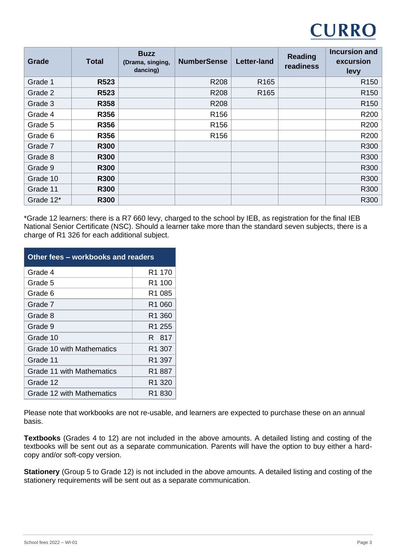

| Grade     | <b>Total</b> | <b>Buzz</b><br>(Drama, singing,<br>dancing) | <b>NumberSense</b> | <b>Letter-land</b> | <b>Reading</b><br>readiness | <b>Incursion and</b><br>excursion<br>levy |
|-----------|--------------|---------------------------------------------|--------------------|--------------------|-----------------------------|-------------------------------------------|
| Grade 1   | R523         |                                             | R208               | R <sub>165</sub>   |                             | R <sub>150</sub>                          |
| Grade 2   | R523         |                                             | R208               | R <sub>165</sub>   |                             | R <sub>150</sub>                          |
| Grade 3   | R358         |                                             | R208               |                    |                             | R <sub>150</sub>                          |
| Grade 4   | R356         |                                             | R <sub>156</sub>   |                    |                             | R <sub>200</sub>                          |
| Grade 5   | R356         |                                             | R <sub>156</sub>   |                    |                             | R200                                      |
| Grade 6   | R356         |                                             | R <sub>156</sub>   |                    |                             | R200                                      |
| Grade 7   | <b>R300</b>  |                                             |                    |                    |                             | R300                                      |
| Grade 8   | <b>R300</b>  |                                             |                    |                    |                             | R300                                      |
| Grade 9   | <b>R300</b>  |                                             |                    |                    |                             | R300                                      |
| Grade 10  | <b>R300</b>  |                                             |                    |                    |                             | R300                                      |
| Grade 11  | <b>R300</b>  |                                             |                    |                    |                             | R300                                      |
| Grade 12* | <b>R300</b>  |                                             |                    |                    |                             | R300                                      |

\*Grade 12 learners: there is a R7 660 levy, charged to the school by IEB, as registration for the final IEB National Senior Certificate (NSC). Should a learner take more than the standard seven subjects, there is a charge of R1 326 for each additional subject.

| Other fees - workbooks and readers |                    |  |  |  |
|------------------------------------|--------------------|--|--|--|
| Grade 4                            | R1 170             |  |  |  |
| Grade 5                            | R1 100             |  |  |  |
| Grade 6                            | R1 085             |  |  |  |
| Grade 7                            | R1 060             |  |  |  |
| Grade 8                            | R <sub>1</sub> 360 |  |  |  |
| Grade 9                            | R1 255             |  |  |  |
| Grade 10                           | R 817              |  |  |  |
| Grade 10 with Mathematics          | R1 307             |  |  |  |
| Grade 11                           | R <sub>1</sub> 397 |  |  |  |
| Grade 11 with Mathematics          | R1 887             |  |  |  |
| Grade 12                           | R1 320             |  |  |  |
| Grade 12 with Mathematics          | R1 830             |  |  |  |

Please note that workbooks are not re-usable, and learners are expected to purchase these on an annual basis.

**Textbooks** (Grades 4 to 12) are not included in the above amounts. A detailed listing and costing of the textbooks will be sent out as a separate communication. Parents will have the option to buy either a hardcopy and/or soft-copy version.

**Stationery** (Group 5 to Grade 12) is not included in the above amounts. A detailed listing and costing of the stationery requirements will be sent out as a separate communication.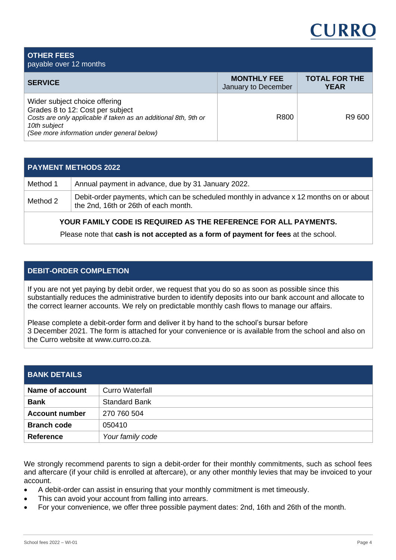#### **OTHER FEES** payable over 12 months **SERVICE MONTHLY FEE** January to December **TOTAL FOR THE YEAR**  Wider subject choice offering Grades 8 to 12: Cost per subject *Costs are only applicable if taken as an additional 8th, 9th or 10th subject (See more information under general below)* R800 R9 600

### **PAYMENT METHODS 2022**

| Method 1 | Annual payment in advance, due by 31 January 2022.                                                                              |
|----------|---------------------------------------------------------------------------------------------------------------------------------|
| Method 2 | Debit-order payments, which can be scheduled monthly in advance x 12 months on or about<br>the 2nd, 16th or 26th of each month. |
|          |                                                                                                                                 |

## **YOUR FAMILY CODE IS REQUIRED AS THE REFERENCE FOR ALL PAYMENTS.**

Please note that **cash is not accepted as a form of payment for fees** at the school.

# **DEBIT-ORDER COMPLETION**

If you are not yet paying by debit order, we request that you do so as soon as possible since this substantially reduces the administrative burden to identify deposits into our bank account and allocate to the correct learner accounts. We rely on predictable monthly cash flows to manage our affairs.

Please complete a debit-order form and deliver it by hand to the school's bursar before 3 December 2021. The form is attached for your convenience or is available from the school and also on the Curro website at www.curro.co.za.

| <b>BANK DETAILS</b>   |                        |
|-----------------------|------------------------|
| Name of account       | <b>Curro Waterfall</b> |
| <b>Bank</b>           | <b>Standard Bank</b>   |
| <b>Account number</b> | 270 760 504            |
| <b>Branch code</b>    | 050410                 |
| <b>Reference</b>      | Your family code       |

We strongly recommend parents to sign a debit-order for their monthly commitments, such as school fees and aftercare (if your child is enrolled at aftercare), or any other monthly levies that may be invoiced to your account.

- A debit-order can assist in ensuring that your monthly commitment is met timeously.
- This can avoid your account from falling into arrears.
- For your convenience, we offer three possible payment dates: 2nd, 16th and 26th of the month.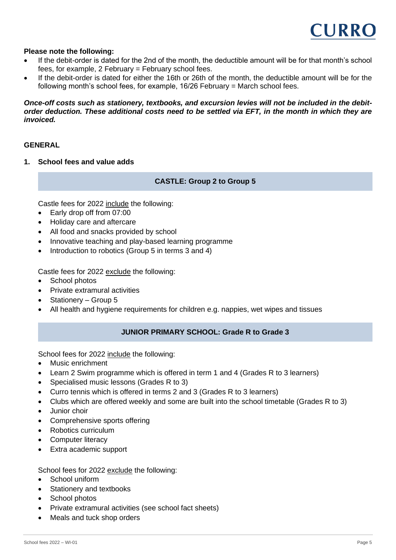

#### **Please note the following:**

- If the debit-order is dated for the 2nd of the month, the deductible amount will be for that month's school fees, for example,  $2$  February = February school fees.
- If the debit-order is dated for either the 16th or 26th of the month, the deductible amount will be for the following month's school fees, for example, 16/26 February = March school fees.

#### *Once-off costs such as stationery, textbooks, and excursion levies will not be included in the debitorder deduction. These additional costs need to be settled via EFT, in the month in which they are invoiced.*

#### **GENERAL**

**1. School fees and value adds**

#### **CASTLE: Group 2 to Group 5**

Castle fees for 2022 include the following:

- Early drop off from 07:00
- Holiday care and aftercare
- All food and snacks provided by school
- Innovative teaching and play-based learning programme
- Introduction to robotics (Group 5 in terms 3 and 4)

Castle fees for 2022 exclude the following:

- School photos
- Private extramural activities
- Stationery Group 5
- All health and hygiene requirements for children e.g. nappies, wet wipes and tissues

## **JUNIOR PRIMARY SCHOOL: Grade R to Grade 3**

School fees for 2022 include the following:

- Music enrichment
- Learn 2 Swim programme which is offered in term 1 and 4 (Grades R to 3 learners)
- Specialised music lessons (Grades R to 3)
- Curro tennis which is offered in terms 2 and 3 (Grades R to 3 learners)
- Clubs which are offered weekly and some are built into the school timetable (Grades R to 3)
- Junior choir
- Comprehensive sports offering
- Robotics curriculum
- **Computer literacy**
- Extra academic support

School fees for 2022 exclude the following:

- School uniform
- Stationery and textbooks
- School photos
- Private extramural activities (see school fact sheets)
- Meals and tuck shop orders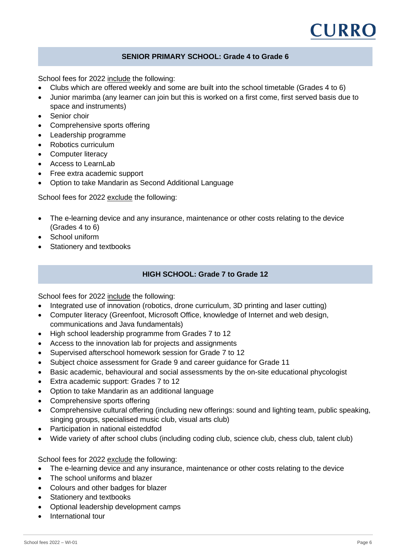

#### **SENIOR PRIMARY SCHOOL: Grade 4 to Grade 6**

School fees for 2022 include the following:

- Clubs which are offered weekly and some are built into the school timetable (Grades 4 to 6)
- Junior marimba (any learner can join but this is worked on a first come, first served basis due to space and instruments)
- Senior choir
- Comprehensive sports offering
- Leadership programme
- Robotics curriculum
- Computer literacy
- Access to LearnLab
- Free extra academic support
- Option to take Mandarin as Second Additional Language

School fees for 2022 exclude the following:

- The e-learning device and any insurance, maintenance or other costs relating to the device (Grades 4 to 6)
- School uniform
- Stationery and textbooks

### **HIGH SCHOOL: Grade 7 to Grade 12**

School fees for 2022 include the following:

- Integrated use of innovation (robotics, drone curriculum, 3D printing and laser cutting)
- Computer literacy (Greenfoot, Microsoft Office, knowledge of Internet and web design, communications and Java fundamentals)
- High school leadership programme from Grades 7 to 12
- Access to the innovation lab for projects and assignments
- Supervised afterschool homework session for Grade 7 to 12
- Subject choice assessment for Grade 9 and career guidance for Grade 11
- Basic academic, behavioural and social assessments by the on-site educational phycologist
- Extra academic support: Grades 7 to 12
- Option to take Mandarin as an additional language
- Comprehensive sports offering
- Comprehensive cultural offering (including new offerings: sound and lighting team, public speaking, singing groups, specialised music club, visual arts club)
- Participation in national eisteddfod
- Wide variety of after school clubs (including coding club, science club, chess club, talent club)

School fees for 2022 exclude the following:

- The e-learning device and any insurance, maintenance or other costs relating to the device
- The school uniforms and blazer
- Colours and other badges for blazer
- Stationery and textbooks
- Optional leadership development camps
- International tour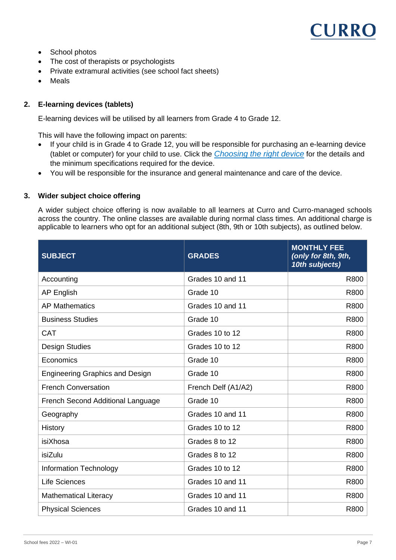- School photos
- The cost of therapists or psychologists
- Private extramural activities (see school fact sheets)
- **Meals**

## **2. E-learning devices (tablets)**

E-learning devices will be utilised by all learners from Grade 4 to Grade 12.

This will have the following impact on parents:

- If your child is in Grade 4 to Grade 12, you will be responsible for purchasing an e-learning device (tablet or computer) for your child to use. Click the *[Choosing the right device](https://curro-my.sharepoint.com/:b:/g/personal/camilla_p_curro_co_za/EdmiyyOfLlFNlmwWlJZKfggB57Wq9n6odInpYZgX5GKpwA?e=PphWGN)* for the details and the minimum specifications required for the device.
- You will be responsible for the insurance and general maintenance and care of the device.

#### **3. Wider subject choice offering**

A wider subject choice offering is now available to all learners at Curro and Curro-managed schools across the country. The online classes are available during normal class times. An additional charge is applicable to learners who opt for an additional subject (8th, 9th or 10th subjects), as outlined below.

| <b>SUBJECT</b>                         | <b>GRADES</b>       | <b>MONTHLY FEE</b><br>(only for 8th, 9th,<br>10th subjects) |
|----------------------------------------|---------------------|-------------------------------------------------------------|
| Accounting                             | Grades 10 and 11    | R800                                                        |
| <b>AP English</b>                      | Grade 10            | R800                                                        |
| <b>AP Mathematics</b>                  | Grades 10 and 11    | R800                                                        |
| <b>Business Studies</b>                | Grade 10            | R800                                                        |
| <b>CAT</b>                             | Grades 10 to 12     | R800                                                        |
| <b>Design Studies</b>                  | Grades 10 to 12     | R800                                                        |
| Economics                              | Grade 10            | R800                                                        |
| <b>Engineering Graphics and Design</b> | Grade 10            | R800                                                        |
| <b>French Conversation</b>             | French Delf (A1/A2) | R800                                                        |
| French Second Additional Language      | Grade 10            | R800                                                        |
| Geography                              | Grades 10 and 11    | R800                                                        |
| History                                | Grades 10 to 12     | R800                                                        |
| isiXhosa                               | Grades 8 to 12      | R800                                                        |
| isiZulu                                | Grades 8 to 12      | R800                                                        |
| <b>Information Technology</b>          | Grades 10 to 12     | R800                                                        |
| <b>Life Sciences</b>                   | Grades 10 and 11    | R800                                                        |
| <b>Mathematical Literacy</b>           | Grades 10 and 11    | R800                                                        |
| <b>Physical Sciences</b>               | Grades 10 and 11    | R800                                                        |